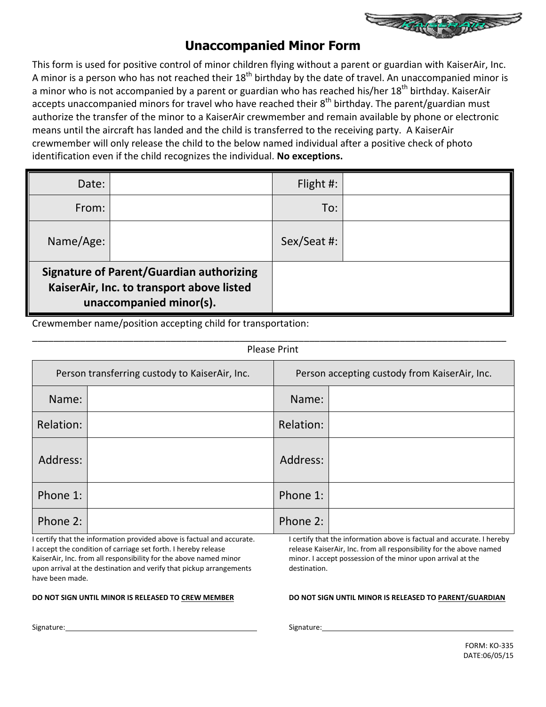

### **Unaccompanied Minor Form**

This form is used for positive control of minor children flying without a parent or guardian with KaiserAir, Inc. A minor is a person who has not reached their  $18^{th}$  birthday by the date of travel. An unaccompanied minor is a minor who is not accompanied by a parent or guardian who has reached his/her 18<sup>th</sup> birthday. KaiserAir accepts unaccompanied minors for travel who have reached their 8<sup>th</sup> birthday. The parent/guardian must authorize the transfer of the minor to a KaiserAir crewmember and remain available by phone or electronic means until the aircraft has landed and the child is transferred to the receiving party. A KaiserAir crewmember will only release the child to the below named individual after a positive check of photo identification even if the child recognizes the individual. **No exceptions.**

| Date:                                                                                                                   |  | Flight $\#$ : |  |
|-------------------------------------------------------------------------------------------------------------------------|--|---------------|--|
| From:                                                                                                                   |  | To:           |  |
| Name/Age:                                                                                                               |  | Sex/Seat #:   |  |
| <b>Signature of Parent/Guardian authorizing</b><br>KaiserAir, Inc. to transport above listed<br>unaccompanied minor(s). |  |               |  |

\_\_\_\_\_\_\_\_\_\_\_\_\_\_\_\_\_\_\_\_\_\_\_\_\_\_\_\_\_\_\_\_\_\_\_\_\_\_\_\_\_\_\_\_\_\_\_\_\_\_\_\_\_\_\_\_\_\_\_\_\_\_\_\_\_\_\_\_\_\_\_\_\_\_\_\_\_\_\_\_\_\_\_\_\_\_\_\_\_

Crewmember name/position accepting child for transportation:

| <b>Please Print</b>                            |  |           |                                               |
|------------------------------------------------|--|-----------|-----------------------------------------------|
| Person transferring custody to KaiserAir, Inc. |  |           | Person accepting custody from KaiserAir, Inc. |
| Name:                                          |  | Name:     |                                               |
| Relation:                                      |  | Relation: |                                               |
| Address:                                       |  | Address:  |                                               |
| Phone 1:                                       |  | Phone 1:  |                                               |
| Phone 2:                                       |  | Phone 2:  |                                               |

I certify that the information provided above is factual and accurate. I accept the condition of carriage set forth. I hereby release KaiserAir, Inc. from all responsibility for the above named minor upon arrival at the destination and verify that pickup arrangements have been made.

**DO NOT SIGN UNTIL MINOR IS RELEASED TO CREW MEMBER** 

I certify that the information above is factual and accurate. I hereby release KaiserAir, Inc. from all responsibility for the above named minor. I accept possession of the minor upon arrival at the destination.

#### **DO NOT SIGN UNTIL MINOR IS RELEASED TO PARENT/GUARDIAN**

Signature:

Signature: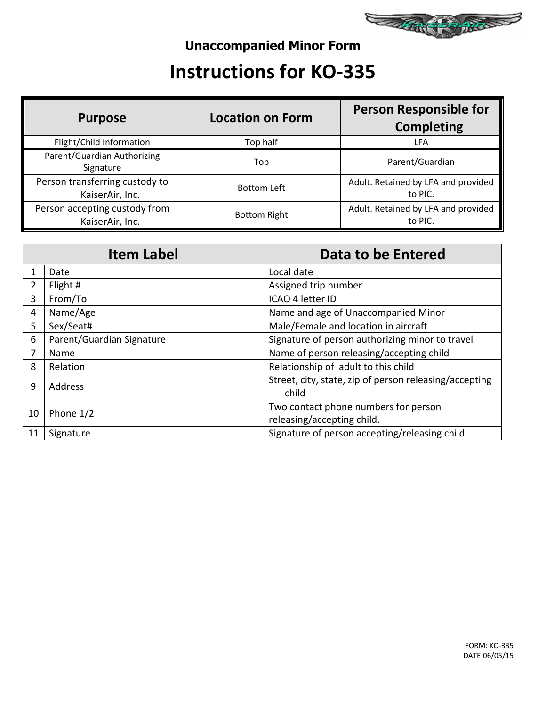

## **Unaccompanied Minor Form**

# **Instructions for KO-335**

| <b>Purpose</b>                                    | <b>Location on Form</b> | <b>Person Responsible for</b><br><b>Completing</b> |
|---------------------------------------------------|-------------------------|----------------------------------------------------|
| Flight/Child Information                          | Top half                | LFA                                                |
| Parent/Guardian Authorizing<br>Signature          | Top                     | Parent/Guardian                                    |
| Person transferring custody to<br>KaiserAir, Inc. | <b>Bottom Left</b>      | Adult. Retained by LFA and provided<br>to PIC.     |
| Person accepting custody from<br>KaiserAir, Inc.  | <b>Bottom Right</b>     | Adult. Retained by LFA and provided<br>to PIC.     |

|                 | <b>Item Label</b>           | Data to be Entered                                              |  |
|-----------------|-----------------------------|-----------------------------------------------------------------|--|
|                 | Date                        | Local date                                                      |  |
| $\overline{2}$  | Flight #                    | Assigned trip number                                            |  |
| 3               | ICAO 4 letter ID<br>From/To |                                                                 |  |
| 4               | Name/Age                    | Name and age of Unaccompanied Minor                             |  |
| Sex/Seat#<br>5  |                             | Male/Female and location in aircraft                            |  |
| 6               | Parent/Guardian Signature   | Signature of person authorizing minor to travel                 |  |
|                 | <b>Name</b>                 | Name of person releasing/accepting child                        |  |
| 8               | Relation                    | Relationship of adult to this child                             |  |
| 9               | Address                     | Street, city, state, zip of person releasing/accepting<br>child |  |
| 10              | Phone 1/2                   | Two contact phone numbers for person                            |  |
|                 |                             | releasing/accepting child.                                      |  |
| 11<br>Signature |                             | Signature of person accepting/releasing child                   |  |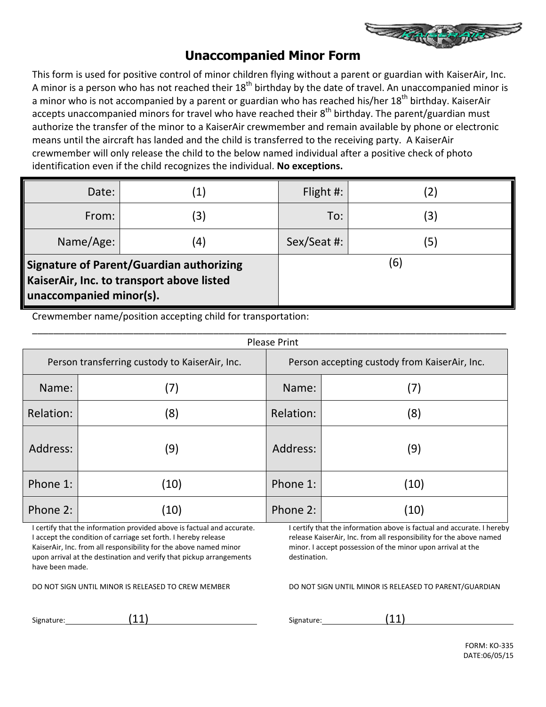

### **Unaccompanied Minor Form**

This form is used for positive control of minor children flying without a parent or guardian with KaiserAir, Inc. A minor is a person who has not reached their  $18<sup>th</sup>$  birthday by the date of travel. An unaccompanied minor is a minor who is not accompanied by a parent or guardian who has reached his/her 18<sup>th</sup> birthday. KaiserAir accepts unaccompanied minors for travel who have reached their  $8<sup>th</sup>$  birthday. The parent/guardian must authorize the transfer of the minor to a KaiserAir crewmember and remain available by phone or electronic means until the aircraft has landed and the child is transferred to the receiving party. A KaiserAir crewmember will only release the child to the below named individual after a positive check of photo identification even if the child recognizes the individual. **No exceptions.**

| Date:                                                                                                                   | $\left( 1\right)$ | Flight $\#$ : | $\left( 2\right)$ |
|-------------------------------------------------------------------------------------------------------------------------|-------------------|---------------|-------------------|
| From:                                                                                                                   | (3)               | To:           | (3)               |
| Name/Age:                                                                                                               | $\left( 4\right)$ | Sex/Seat #:   | (5)               |
| <b>Signature of Parent/Guardian authorizing</b><br>KaiserAir, Inc. to transport above listed<br>unaccompanied minor(s). |                   | (6)           |                   |

Crewmember name/position accepting child for transportation:

| <b>Please Print</b>                            |      |                                               |      |
|------------------------------------------------|------|-----------------------------------------------|------|
| Person transferring custody to KaiserAir, Inc. |      | Person accepting custody from KaiserAir, Inc. |      |
| Name:                                          | (7)  | Name:                                         | (7)  |
| Relation:                                      | (8)  | Relation:                                     | (8)  |
| Address:                                       | (9)  | Address:                                      | (9)  |
| Phone 1:                                       | (10) | Phone 1:                                      | (10) |
| Phone 2:                                       | (10) | Phone 2:                                      | (10) |

I certify that the information provided above is factual and accurate. I accept the condition of carriage set forth. I hereby release KaiserAir, Inc. from all responsibility for the above named minor upon arrival at the destination and verify that pickup arrangements have been made.

DO NOT SIGN UNTIL MINOR IS RELEASED TO CREW MEMBER

I certify that the information above is factual and accurate. I hereby release KaiserAir, Inc. from all responsibility for the above named minor. I accept possession of the minor upon arrival at the destination.

DO NOT SIGN UNTIL MINOR IS RELEASED TO PARENT/GUARDIAN

Signature: (11)

Signature: (11)